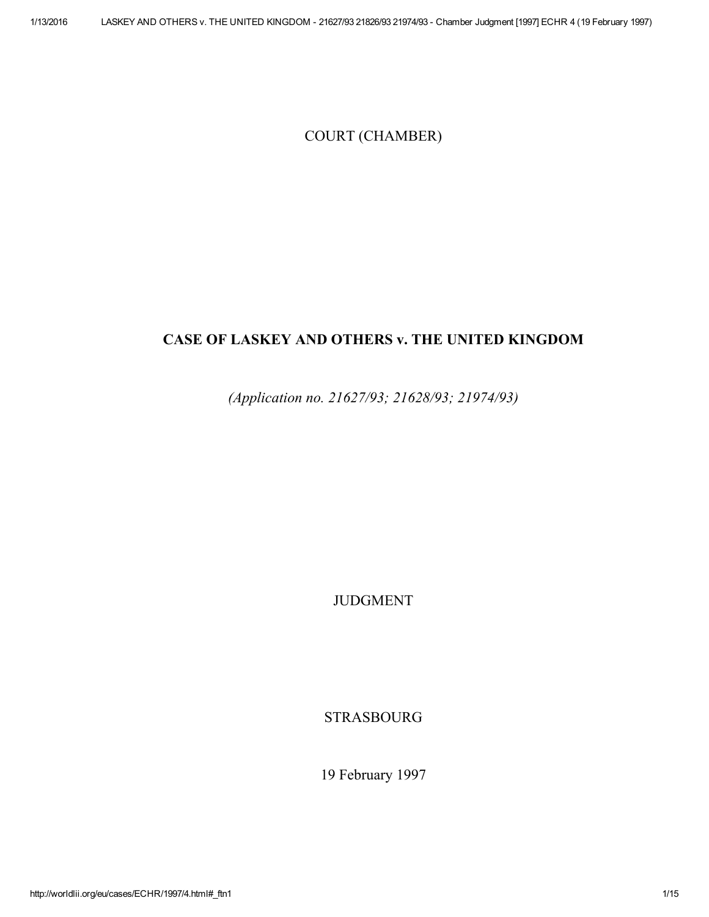COURT (CHAMBER)

### CASE OF LASKEY AND OTHERS v. THE UNITED KINGDOM

(Application no. 21627/93; 21628/93; 21974/93)

JUDGMENT

STRASBOURG

19 February 1997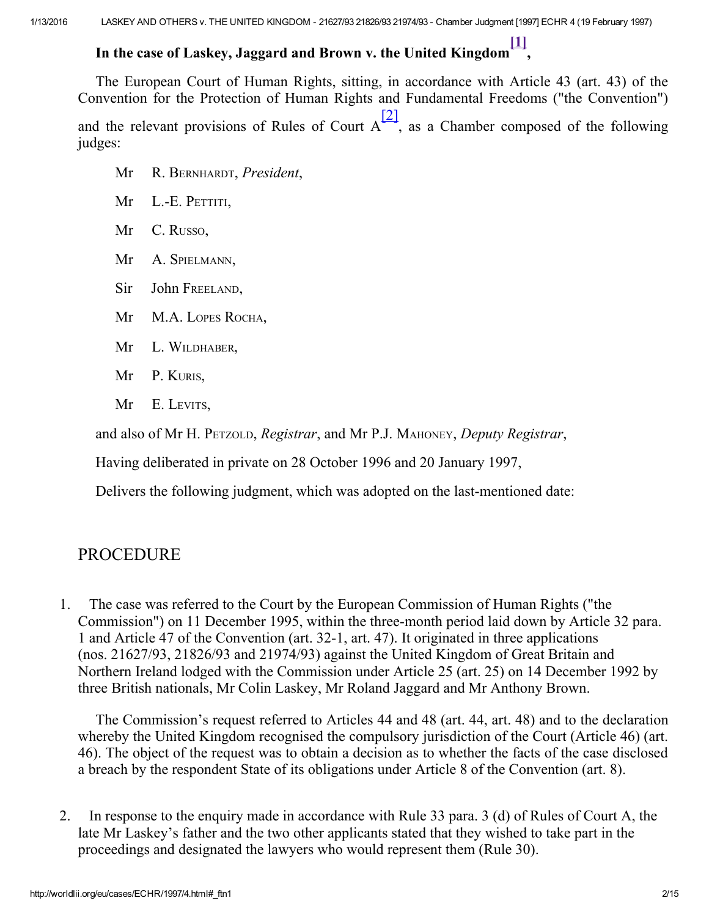#### In the case of Laskey, Jaggard and Brown v. the United Kingdom [1] ,

The European Court of Human Rights, sitting, in accordance with Article 43 (art. 43) of the Convention for the Protection of Human Rights and Fundamental Freedoms ("the Convention") and the relevant provisions of Rules of Court A [2] , as a Chamber composed of the following judges:

- Mr R. BERNHARDT, President,
- Mr L.-E. PETTITI,
- Mr C. Russo,
- Mr A. SPIELMANN,
- Sir John FREELAND,
- Mr M.A. LOPES ROCHA,
- Mr L. WILDHABER,
- Mr P. KURIS,
- Mr E. LEVITS,

and also of Mr H. PETZOLD, Registrar, and Mr P.J. MAHONEY, Deputy Registrar,

Having deliberated in private on 28 October 1996 and 20 January 1997,

Delivers the following judgment, which was adopted on the last-mentioned date:

# PROCEDURE

1. The case was referred to the Court by the European Commission of Human Rights ("the Commission") on 11 December 1995, within the three-month period laid down by Article 32 para. 1 and Article 47 of the Convention (art. 32-1, art. 47). It originated in three applications (nos. 21627/93, 21826/93 and 21974/93) against the United Kingdom of Great Britain and Northern Ireland lodged with the Commission under Article 25 (art. 25) on 14 December 1992 by three British nationals, Mr Colin Laskey, Mr Roland Jaggard and Mr Anthony Brown.

The Commission's request referred to Articles 44 and 48 (art. 44, art. 48) and to the declaration whereby the United Kingdom recognised the compulsory jurisdiction of the Court (Article 46) (art. 46). The object of the request was to obtain a decision as to whether the facts of the case disclosed a breach by the respondent State of its obligations under Article 8 of the Convention (art. 8).

<span id="page-1-0"></span>2. In response to the enquiry made in accordance with Rule 33 para. 3 (d) of Rules of Court A, the late Mr Laskey's father and the two other applicants stated that they wished to take part in the proceedings and designated the lawyers who would represent them (Rule 30).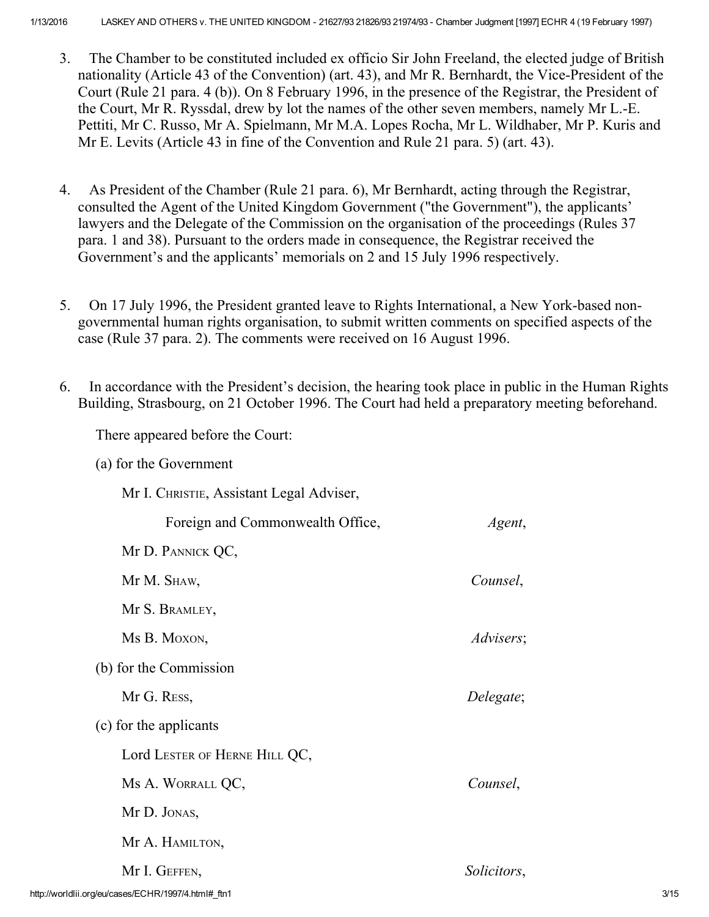- 3. The Chamber to be constituted included ex officio Sir John Freeland, the elected judge of British nationality (Article 43 of the Convention) (art. 43), and Mr R. Bernhardt, the Vice-President of the Court (Rule 21 para. 4 (b)). On 8 February 1996, in the presence of the Registrar, the President of the Court, Mr R. Ryssdal, drew by lot the names of the other seven members, namely Mr L.-E. Pettiti, Mr C. Russo, Mr A. Spielmann, Mr M.A. Lopes Rocha, Mr L. Wildhaber, Mr P. Kuris and Mr E. Levits (Article 43 in fine of the Convention and Rule 21 para. 5) (art. 43).
- 4. As President of the Chamber (Rule 21 para. 6), Mr Bernhardt, acting through the Registrar, consulted the Agent of the United Kingdom Government ("the Government"), the applicants' lawyers and the Delegate of the Commission on the organisation of the proceedings (Rules 37 para. 1 and 38). Pursuant to the orders made in consequence, the Registrar received the Government's and the applicants' memorials on 2 and 15 July 1996 respectively.
- 5. On 17 July 1996, the President granted leave to Rights International, a New York-based nongovernmental human rights organisation, to submit written comments on specified aspects of the case (Rule 37 para. 2). The comments were received on 16 August 1996.
- 6. In accordance with the President's decision, the hearing took place in public in the Human Rights Building, Strasbourg, on 21 October 1996. The Court had held a preparatory meeting beforehand.

There appeared before the Court:

(a) for the Government

| Mr I. CHRISTIE, Assistant Legal Adviser, |                   |
|------------------------------------------|-------------------|
| Foreign and Commonwealth Office,         | Agent,            |
| Mr D. PANNICK QC,                        |                   |
| Mr M. Shaw,                              | Counsel,          |
| Mr S. BRAMLEY,                           |                   |
| Ms B. MOXON,                             | <i>Advisers</i> ; |
| (b) for the Commission                   |                   |
| Mr G. Ress,                              | Delegate;         |
| (c) for the applicants                   |                   |
| Lord LESTER OF HERNE HILL QC,            |                   |
| Ms A. WORRALL QC,                        | Counsel,          |
| Mr D. JONAS,                             |                   |
| Mr A. HAMILTON,                          |                   |
| Mr I. GEFFEN,                            | Solicitors,       |
|                                          |                   |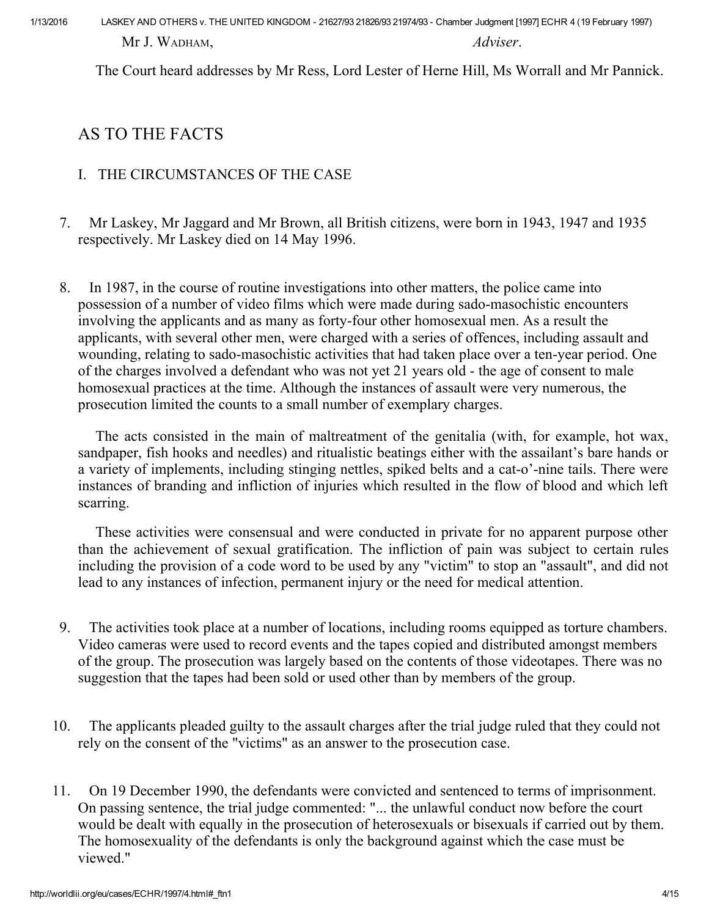The Court heard addresses by Mr Ress, Lord Lester of Herne Hill, Ms Worrall and Mr Pannick.

# AS TO THE FACTS

### I. THE CIRCUMSTANCES OF THE CASE

- 7. Mr Laskey, Mr Jaggard and Mr Brown, all British citizens, were born in 1943, 1947 and 1935 respectively. Mr Laskey died on 14 May 1996.
- 8. In 1987, in the course of routine investigations into other matters, the police came into possession of a number of video films which were made during sado-masochistic encounters involving the applicants and as many as forty-four other homosexual men. As a result the applicants, with several other men, were charged with a series of offences, including assault and wounding, relating to sado-masochistic activities that had taken place over a ten-year period. One of the charges involved a defendant who was not yet 21 years old the age of consent to male homosexual practices at the time. Although the instances of assault were very numerous, the prosecution limited the counts to a small number of exemplary charges.

The acts consisted in the main of maltreatment of the genitalia (with, for example, hot wax, sandpaper, fish hooks and needles) and ritualistic beatings either with the assailant's bare hands or a variety of implements, including stinging nettles, spiked belts and a cat-o'-nine tails. There were instances of branding and infliction of injuries which resulted in the flow of blood and which left scarring.

These activities were consensual and were conducted in private for no apparent purpose other than the achievement of sexual gratification. The infliction of pain was subject to certain rules including the provision of a code word to be used by any "victim" to stop an "assault", and did not lead to any instances of infection, permanent injury or the need for medical attention.

- 9. The activities took place at a number of locations, including rooms equipped as torture chambers. Video cameras were used to record events and the tapes copied and distributed amongst members of the group. The prosecution was largely based on the contents of those videotapes. There was no suggestion that the tapes had been sold or used other than by members of the group.
- 10. The applicants pleaded guilty to the assault charges after the trial judge ruled that they could not rely on the consent of the "victims" as an answer to the prosecution case.
- 11. On 19 December 1990, the defendants were convicted and sentenced to terms of imprisonment. On passing sentence, the trial judge commented: "... the unlawful conduct now before the court would be dealt with equally in the prosecution of heterosexuals or bisexuals if carried out by them. The homosexuality of the defendants is only the background against which the case must be viewed."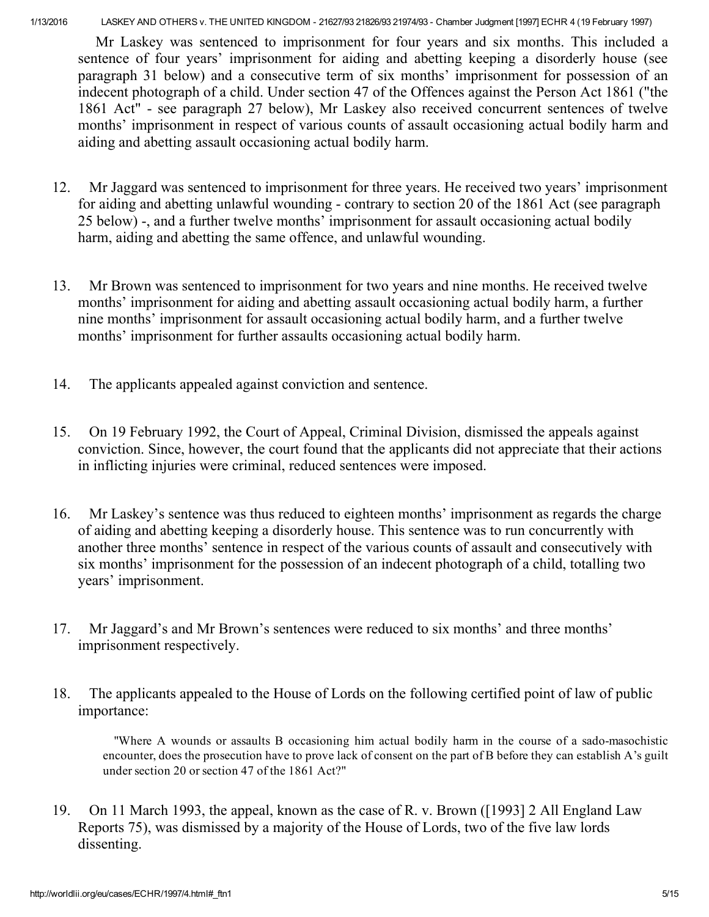Mr Laskey was sentenced to imprisonment for four years and six months. This included a sentence of four years' imprisonment for aiding and abetting keeping a disorderly house (see paragraph 31 below) and a consecutive term of six months' imprisonment for possession of an indecent photograph of a child. Under section 47 of the Offences against the Person Act 1861 ("the 1861 Act" - see paragraph 27 below), Mr Laskey also received concurrent sentences of twelve months' imprisonment in respect of various counts of assault occasioning actual bodily harm and aiding and abetting assault occasioning actual bodily harm.

- 12. Mr Jaggard was sentenced to imprisonment for three years. He received two years' imprisonment for aiding and abetting unlawful wounding - contrary to section 20 of the 1861 Act (see paragraph 25 below) , and a further twelve months' imprisonment for assault occasioning actual bodily harm, aiding and abetting the same offence, and unlawful wounding.
- 13. Mr Brown was sentenced to imprisonment for two years and nine months. He received twelve months' imprisonment for aiding and abetting assault occasioning actual bodily harm, a further nine months' imprisonment for assault occasioning actual bodily harm, and a further twelve months' imprisonment for further assaults occasioning actual bodily harm.
- 14. The applicants appealed against conviction and sentence.
- 15. On 19 February 1992, the Court of Appeal, Criminal Division, dismissed the appeals against conviction. Since, however, the court found that the applicants did not appreciate that their actions in inflicting injuries were criminal, reduced sentences were imposed.
- 16. Mr Laskey's sentence was thus reduced to eighteen months' imprisonment as regards the charge of aiding and abetting keeping a disorderly house. This sentence was to run concurrently with another three months' sentence in respect of the various counts of assault and consecutively with six months' imprisonment for the possession of an indecent photograph of a child, totalling two years' imprisonment.
- 17. Mr Jaggard's and Mr Brown's sentences were reduced to six months' and three months' imprisonment respectively.
- 18. The applicants appealed to the House of Lords on the following certified point of law of public importance:

"Where A wounds or assaults B occasioning him actual bodily harm in the course of a sadomasochistic encounter, does the prosecution have to prove lack of consent on the part of B before they can establish A's guilt under section 20 or section 47 of the 1861 Act?"

19. On 11 March 1993, the appeal, known as the case of R. v. Brown ([1993] 2 All England Law Reports 75), was dismissed by a majority of the House of Lords, two of the five law lords dissenting.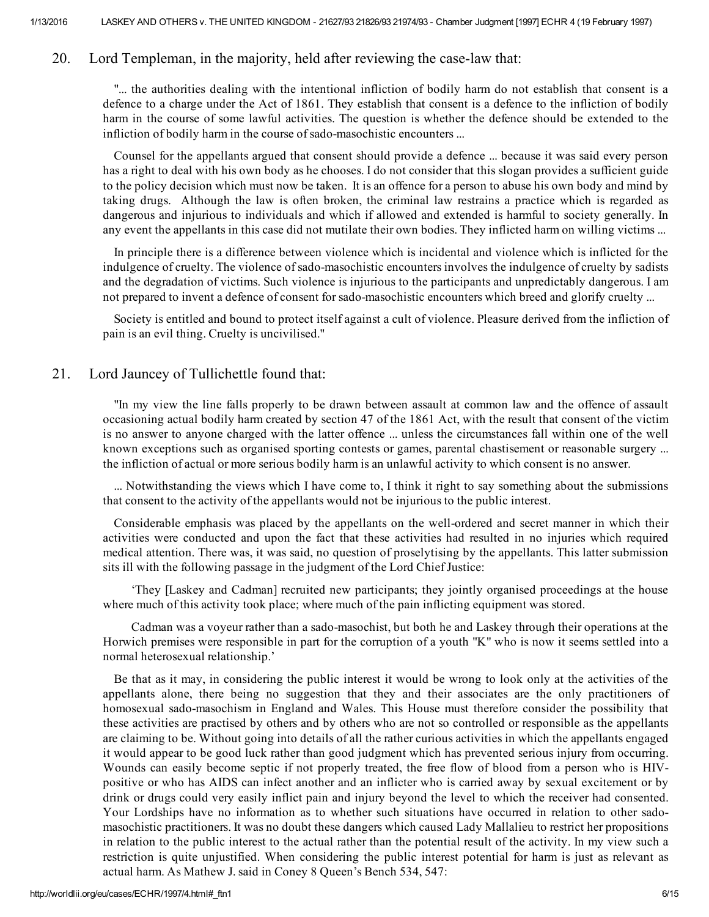#### 20. Lord Templeman, in the majority, held after reviewing the case-law that:

"... the authorities dealing with the intentional infliction of bodily harm do not establish that consent is a defence to a charge under the Act of 1861. They establish that consent is a defence to the infliction of bodily harm in the course of some lawful activities. The question is whether the defence should be extended to the infliction of bodily harm in the course of sado-masochistic encounters ...

Counsel for the appellants argued that consent should provide a defence ... because it was said every person has a right to deal with his own body as he chooses. I do not consider that this slogan provides a sufficient guide to the policy decision which must now be taken. It is an offence for a person to abuse his own body and mind by taking drugs. Although the law is often broken, the criminal law restrains a practice which is regarded as dangerous and injurious to individuals and which if allowed and extended is harmful to society generally. In any event the appellants in this case did not mutilate their own bodies. They inflicted harm on willing victims ...

In principle there is a difference between violence which is incidental and violence which is inflicted for the indulgence of cruelty. The violence of sado-masochistic encounters involves the indulgence of cruelty by sadists and the degradation of victims. Such violence is injurious to the participants and unpredictably dangerous. I am not prepared to invent a defence of consent for sado-masochistic encounters which breed and glorify cruelty ...

Society is entitled and bound to protect itself against a cult of violence. Pleasure derived from the infliction of pain is an evil thing. Cruelty is uncivilised."

#### 21. Lord Jauncey of Tullichettle found that:

"In my view the line falls properly to be drawn between assault at common law and the offence of assault occasioning actual bodily harm created by section 47 of the 1861 Act, with the result that consent of the victim is no answer to anyone charged with the latter offence ... unless the circumstances fall within one of the well known exceptions such as organised sporting contests or games, parental chastisement or reasonable surgery ... the infliction of actual or more serious bodily harm is an unlawful activity to which consent is no answer.

... Notwithstanding the views which I have come to, I think it right to say something about the submissions that consent to the activity of the appellants would not be injurious to the public interest.

Considerable emphasis was placed by the appellants on the well-ordered and secret manner in which their activities were conducted and upon the fact that these activities had resulted in no injuries which required medical attention. There was, it was said, no question of proselytising by the appellants. This latter submission sits ill with the following passage in the judgment of the Lord Chief Justice:

'They [Laskey and Cadman] recruited new participants; they jointly organised proceedings at the house where much of this activity took place; where much of the pain inflicting equipment was stored.

Cadman was a voyeur rather than a sado-masochist, but both he and Laskey through their operations at the Horwich premises were responsible in part for the corruption of a youth "K" who is now it seems settled into a normal heterosexual relationship.'

Be that as it may, in considering the public interest it would be wrong to look only at the activities of the appellants alone, there being no suggestion that they and their associates are the only practitioners of homosexual sado-masochism in England and Wales. This House must therefore consider the possibility that these activities are practised by others and by others who are not so controlled or responsible as the appellants are claiming to be. Without going into details of all the rather curious activities in which the appellants engaged it would appear to be good luck rather than good judgment which has prevented serious injury from occurring. Wounds can easily become septic if not properly treated, the free flow of blood from a person who is HIVpositive or who has AIDS can infect another and an inflicter who is carried away by sexual excitement or by drink or drugs could very easily inflict pain and injury beyond the level to which the receiver had consented. Your Lordships have no information as to whether such situations have occurred in relation to other sadomasochistic practitioners. It was no doubt these dangers which caused Lady Mallalieu to restrict her propositions in relation to the public interest to the actual rather than the potential result of the activity. In my view such a restriction is quite unjustified. When considering the public interest potential for harm is just as relevant as actual harm. As Mathew J. said in Coney 8 Queen's Bench 534, 547: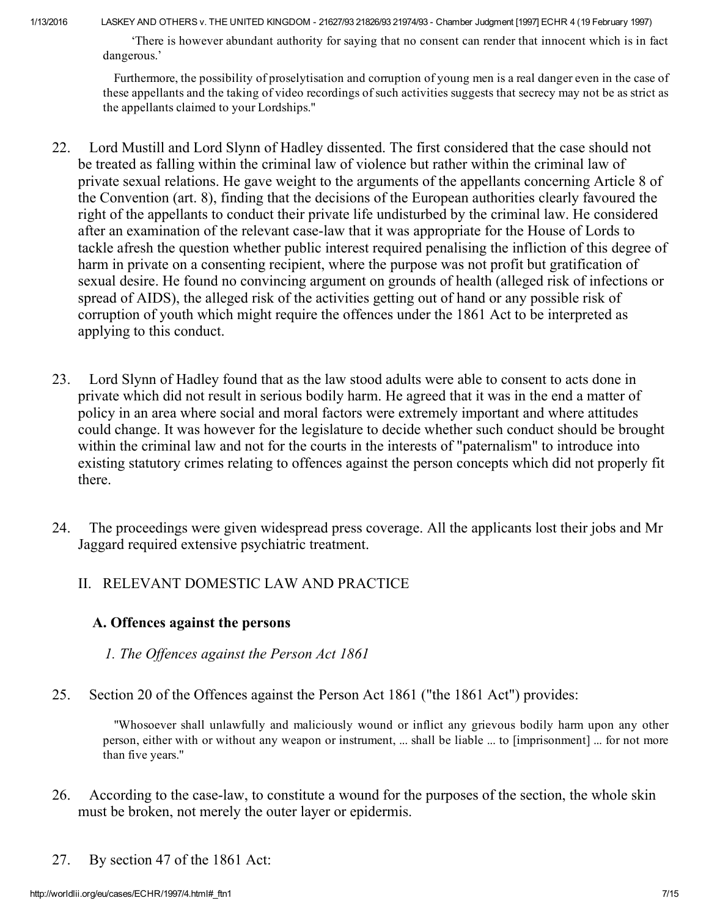'There is however abundant authority for saying that no consent can render that innocent which is in fact dangerous.'

Furthermore, the possibility of proselytisation and corruption of young men is a real danger even in the case of these appellants and the taking of video recordings of such activities suggests that secrecy may not be as strict as the appellants claimed to your Lordships."

- 22. Lord Mustill and Lord Slynn of Hadley dissented. The first considered that the case should not be treated as falling within the criminal law of violence but rather within the criminal law of private sexual relations. He gave weight to the arguments of the appellants concerning Article 8 of the Convention (art. 8), finding that the decisions of the European authorities clearly favoured the right of the appellants to conduct their private life undisturbed by the criminal law. He considered after an examination of the relevant caselaw that it was appropriate for the House of Lords to tackle afresh the question whether public interest required penalising the infliction of this degree of harm in private on a consenting recipient, where the purpose was not profit but gratification of sexual desire. He found no convincing argument on grounds of health (alleged risk of infections or spread of AIDS), the alleged risk of the activities getting out of hand or any possible risk of corruption of youth which might require the offences under the 1861 Act to be interpreted as applying to this conduct.
- 23. Lord Slynn of Hadley found that as the law stood adults were able to consent to acts done in private which did not result in serious bodily harm. He agreed that it was in the end a matter of policy in an area where social and moral factors were extremely important and where attitudes could change. It was however for the legislature to decide whether such conduct should be brought within the criminal law and not for the courts in the interests of "paternalism" to introduce into existing statutory crimes relating to offences against the person concepts which did not properly fit there.
- 24. The proceedings were given widespread press coverage. All the applicants lost their jobs and Mr Jaggard required extensive psychiatric treatment.

## II. RELEVANT DOMESTIC LAW AND PRACTICE

#### A. Offences against the persons

1. The Offences against the Person Act 1861

25. Section 20 of the Offences against the Person Act 1861 ("the 1861 Act") provides:

"Whosoever shall unlawfully and maliciously wound or inflict any grievous bodily harm upon any other person, either with or without any weapon or instrument, ... shall be liable ... to [imprisonment] ... for not more than five years."

- 26. According to the case-law, to constitute a wound for the purposes of the section, the whole skin must be broken, not merely the outer layer or epidermis.
- 27. By section 47 of the 1861 Act: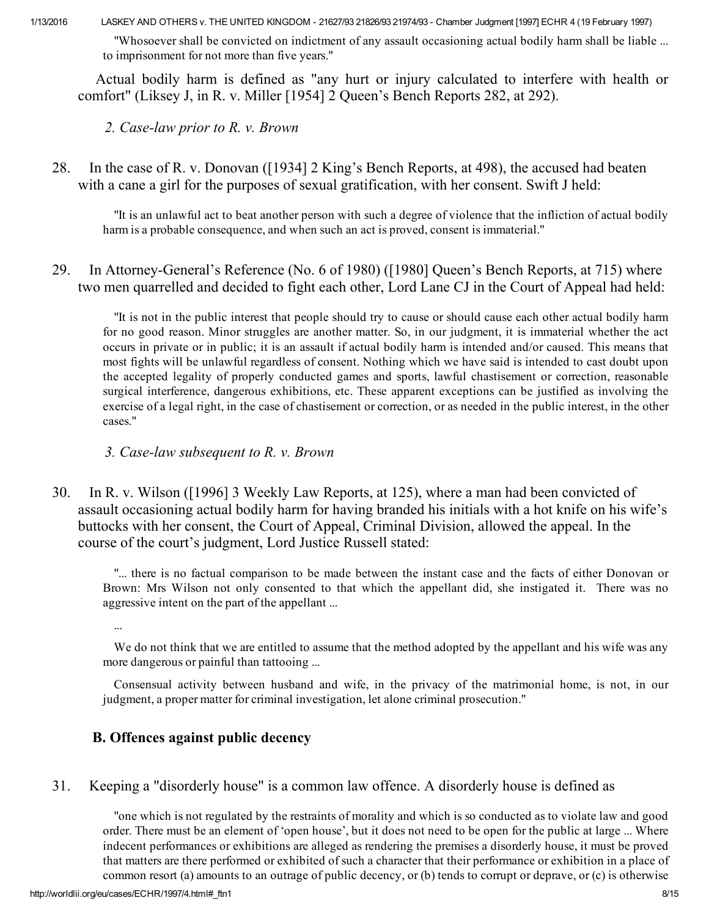"Whosoever shall be convicted on indictment of any assault occasioning actual bodily harm shall be liable ... to imprisonment for not more than five years."

Actual bodily harm is defined as "any hurt or injury calculated to interfere with health or comfort" (Liksey J, in R. v. Miller [1954] 2 Queen's Bench Reports 282, at 292).

2. Case-law prior to R. v. Brown

28. In the case of R. v. Donovan ([1934] 2 King's Bench Reports, at 498), the accused had beaten with a cane a girl for the purposes of sexual gratification, with her consent. Swift J held:

"It is an unlawful act to beat another person with such a degree of violence that the infliction of actual bodily harm is a probable consequence, and when such an act is proved, consent is immaterial."

29. In Attorney-General's Reference (No. 6 of 1980) ([1980] Queen's Bench Reports, at 715) where two men quarrelled and decided to fight each other, Lord Lane CJ in the Court of Appeal had held:

"It is not in the public interest that people should try to cause or should cause each other actual bodily harm for no good reason. Minor struggles are another matter. So, in our judgment, it is immaterial whether the act occurs in private or in public; it is an assault if actual bodily harm is intended and/or caused. This means that most fights will be unlawful regardless of consent. Nothing which we have said is intended to cast doubt upon the accepted legality of properly conducted games and sports, lawful chastisement or correction, reasonable surgical interference, dangerous exhibitions, etc. These apparent exceptions can be justified as involving the exercise of a legal right, in the case of chastisement or correction, or as needed in the public interest, in the other cases."

- 3. Case-law subsequent to R. v. Brown
- 30. In R. v. Wilson ([1996] 3 Weekly Law Reports, at 125), where a man had been convicted of assault occasioning actual bodily harm for having branded his initials with a hot knife on his wife's buttocks with her consent, the Court of Appeal, Criminal Division, allowed the appeal. In the course of the court's judgment, Lord Justice Russell stated:

"... there is no factual comparison to be made between the instant case and the facts of either Donovan or Brown: Mrs Wilson not only consented to that which the appellant did, she instigated it. There was no aggressive intent on the part of the appellant ...

...

We do not think that we are entitled to assume that the method adopted by the appellant and his wife was any more dangerous or painful than tattooing ...

Consensual activity between husband and wife, in the privacy of the matrimonial home, is not, in our judgment, a proper matter for criminal investigation, let alone criminal prosecution."

#### B. Offences against public decency

31. Keeping a "disorderly house" is a common law offence. A disorderly house is defined as

"one which is not regulated by the restraints of morality and which is so conducted as to violate law and good order. There must be an element of 'open house', but it does not need to be open for the public at large ... Where indecent performances or exhibitions are alleged as rendering the premises a disorderly house, it must be proved that matters are there performed or exhibited of such a character that their performance or exhibition in a place of common resort (a) amounts to an outrage of public decency, or (b) tends to corrupt or deprave, or (c) is otherwise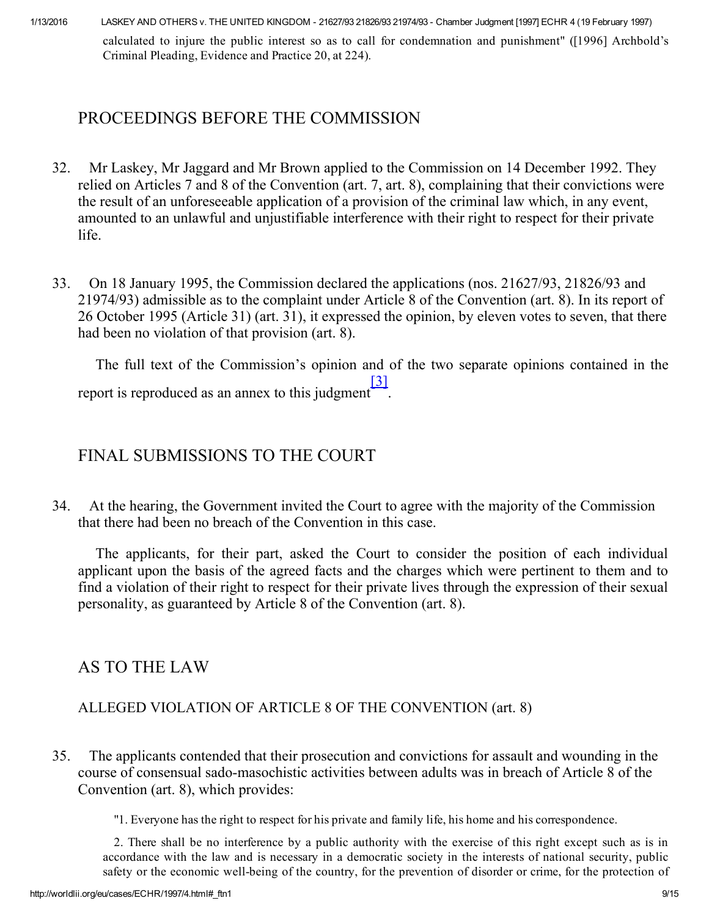1/13/2016 LASKEY AND OTHERS v. THE UNITED KINGDOM 21627/93 21826/93 21974/93 Chamber Judgment [1997] ECHR 4 (19 February 1997) calculated to injure the public interest so as to call for condemnation and punishment" ([1996] Archbold's Criminal Pleading, Evidence and Practice 20, at 224).

# PROCEEDINGS BEFORE THE COMMISSION

- 32. Mr Laskey, Mr Jaggard and Mr Brown applied to the Commission on 14 December 1992. They relied on Articles 7 and 8 of the Convention (art. 7, art. 8), complaining that their convictions were the result of an unforeseeable application of a provision of the criminal law which, in any event, amounted to an unlawful and unjustifiable interference with their right to respect for their private life.
- 33. On 18 January 1995, the Commission declared the applications (nos. 21627/93, 21826/93 and 21974/93) admissible as to the complaint under Article 8 of the Convention (art. 8). In its report of 26 October 1995 (Article 31) (art. 31), it expressed the opinion, by eleven votes to seven, that there had been no violation of that provision (art. 8).

The full text of the Commission's opinion and of the two separate opinions contained in the report is reproduced as an annex to this judgment [3] .

# FINAL SUBMISSIONS TO THE COURT

34. At the hearing, the Government invited the Court to agree with the majority of the Commission that there had been no breach of the Convention in this case.

The applicants, for their part, asked the Court to consider the position of each individual applicant upon the basis of the agreed facts and the charges which were pertinent to them and to find a violation of their right to respect for their private lives through the expression of their sexual personality, as guaranteed by Article 8 of the Convention (art. 8).

# AS TO THE LAW

## ALLEGED VIOLATION OF ARTICLE 8 OF THE CONVENTION (art. 8)

35. The applicants contended that their prosecution and convictions for assault and wounding in the course of consensual sado-masochistic activities between adults was in breach of Article 8 of the Convention (art. 8), which provides:

"1. Everyone has the right to respect for his private and family life, his home and his correspondence.

2. There shall be no interference by a public authority with the exercise of this right except such as is in accordance with the law and is necessary in a democratic society in the interests of national security, public safety or the economic well-being of the country, for the prevention of disorder or crime, for the protection of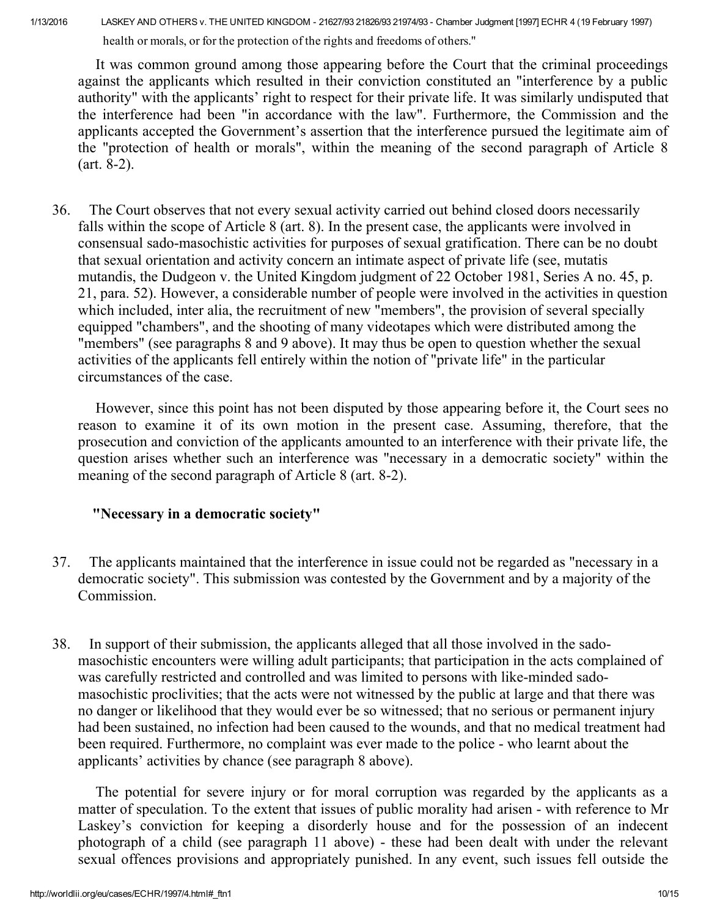1/13/2016 LASKEY AND OTHERS v. THE UNITED KINGDOM 21627/93 21826/93 21974/93 Chamber Judgment [1997] ECHR 4 (19 February 1997) health or morals, or for the protection of the rights and freedoms of others."

It was common ground among those appearing before the Court that the criminal proceedings against the applicants which resulted in their conviction constituted an "interference by a public authority" with the applicants' right to respect for their private life. It was similarly undisputed that the interference had been "in accordance with the law". Furthermore, the Commission and the applicants accepted the Government's assertion that the interference pursued the legitimate aim of the "protection of health or morals", within the meaning of the second paragraph of Article 8  $(art. 8-2)$ .

36. The Court observes that not every sexual activity carried out behind closed doors necessarily falls within the scope of Article 8 (art. 8). In the present case, the applicants were involved in consensual sado-masochistic activities for purposes of sexual gratification. There can be no doubt that sexual orientation and activity concern an intimate aspect of private life (see, mutatis mutandis, the Dudgeon v. the United Kingdom judgment of 22 October 1981, Series A no. 45, p. 21, para. 52). However, a considerable number of people were involved in the activities in question which included, inter alia, the recruitment of new "members", the provision of several specially equipped "chambers", and the shooting of many videotapes which were distributed among the "members" (see paragraphs 8 and 9 above). It may thus be open to question whether the sexual activities of the applicants fell entirely within the notion of "private life" in the particular circumstances of the case.

However, since this point has not been disputed by those appearing before it, the Court sees no reason to examine it of its own motion in the present case. Assuming, therefore, that the prosecution and conviction of the applicants amounted to an interference with their private life, the question arises whether such an interference was "necessary in a democratic society" within the meaning of the second paragraph of Article 8 (art. 8-2).

#### "Necessary in a democratic society"

- 37. The applicants maintained that the interference in issue could not be regarded as "necessary in a democratic society". This submission was contested by the Government and by a majority of the Commission.
- 38. In support of their submission, the applicants alleged that all those involved in the sadomasochistic encounters were willing adult participants; that participation in the acts complained of was carefully restricted and controlled and was limited to persons with like-minded sadomasochistic proclivities; that the acts were not witnessed by the public at large and that there was no danger or likelihood that they would ever be so witnessed; that no serious or permanent injury had been sustained, no infection had been caused to the wounds, and that no medical treatment had been required. Furthermore, no complaint was ever made to the police - who learnt about the applicants' activities by chance (see paragraph 8 above).

The potential for severe injury or for moral corruption was regarded by the applicants as a matter of speculation. To the extent that issues of public morality had arisen - with reference to Mr Laskey's conviction for keeping a disorderly house and for the possession of an indecent photograph of a child (see paragraph 11 above) these had been dealt with under the relevant sexual offences provisions and appropriately punished. In any event, such issues fell outside the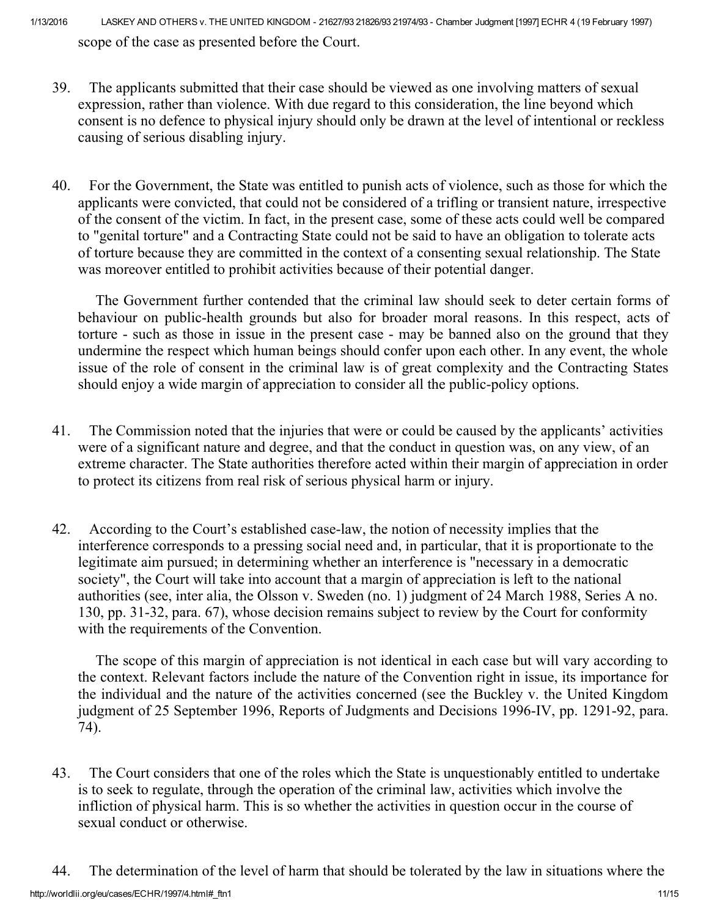- 1/13/2016 LASKEY AND OTHERS v. THE UNITED KINGDOM 21627/93 21826/93 21974/93 Chamber Judgment [1997] ECHR 4 (19 February 1997) scope of the case as presented before the Court.
	- 39. The applicants submitted that their case should be viewed as one involving matters of sexual expression, rather than violence. With due regard to this consideration, the line beyond which consent is no defence to physical injury should only be drawn at the level of intentional or reckless causing of serious disabling injury.
	- 40. For the Government, the State was entitled to punish acts of violence, such as those for which the applicants were convicted, that could not be considered of a trifling or transient nature, irrespective of the consent of the victim. In fact, in the present case, some of these acts could well be compared to "genital torture" and a Contracting State could not be said to have an obligation to tolerate acts of torture because they are committed in the context of a consenting sexual relationship. The State was moreover entitled to prohibit activities because of their potential danger.

The Government further contended that the criminal law should seek to deter certain forms of behaviour on public-health grounds but also for broader moral reasons. In this respect, acts of torture - such as those in issue in the present case - may be banned also on the ground that they undermine the respect which human beings should confer upon each other. In any event, the whole issue of the role of consent in the criminal law is of great complexity and the Contracting States should enjoy a wide margin of appreciation to consider all the public-policy options.

- 41. The Commission noted that the injuries that were or could be caused by the applicants' activities were of a significant nature and degree, and that the conduct in question was, on any view, of an extreme character. The State authorities therefore acted within their margin of appreciation in order to protect its citizens from real risk of serious physical harm or injury.
- 42. According to the Court's established case-law, the notion of necessity implies that the interference corresponds to a pressing social need and, in particular, that it is proportionate to the legitimate aim pursued; in determining whether an interference is "necessary in a democratic society", the Court will take into account that a margin of appreciation is left to the national authorities (see, inter alia, the Olsson v. Sweden (no. 1) judgment of 24 March 1988, Series A no. 130, pp. 31-32, para. 67), whose decision remains subject to review by the Court for conformity with the requirements of the Convention.

The scope of this margin of appreciation is not identical in each case but will vary according to the context. Relevant factors include the nature of the Convention right in issue, its importance for the individual and the nature of the activities concerned (see the Buckley v. the United Kingdom judgment of 25 September 1996, Reports of Judgments and Decisions 1996-IV, pp. 1291-92, para. 74).

- 43. The Court considers that one of the roles which the State is unquestionably entitled to undertake is to seek to regulate, through the operation of the criminal law, activities which involve the infliction of physical harm. This is so whether the activities in question occur in the course of sexual conduct or otherwise.
- http://worldlii.org/eu/cases/ECHR/1997/4.html# ftn1 11/15 44. The determination of the level of harm that should be tolerated by the law in situations where the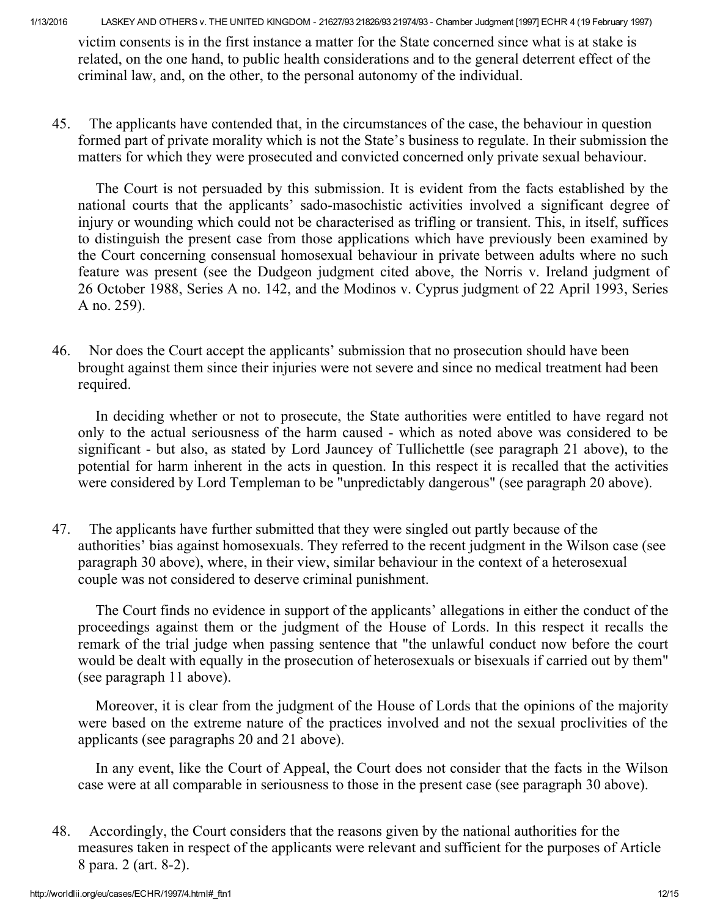victim consents is in the first instance a matter for the State concerned since what is at stake is related, on the one hand, to public health considerations and to the general deterrent effect of the criminal law, and, on the other, to the personal autonomy of the individual.

45. The applicants have contended that, in the circumstances of the case, the behaviour in question formed part of private morality which is not the State's business to regulate. In their submission the matters for which they were prosecuted and convicted concerned only private sexual behaviour.

The Court is not persuaded by this submission. It is evident from the facts established by the national courts that the applicants' sado-masochistic activities involved a significant degree of injury or wounding which could not be characterised as trifling or transient. This, in itself, suffices to distinguish the present case from those applications which have previously been examined by the Court concerning consensual homosexual behaviour in private between adults where no such feature was present (see the Dudgeon judgment cited above, the Norris v. Ireland judgment of 26 October 1988, Series A no. 142, and the Modinos v. Cyprus judgment of 22 April 1993, Series A no. 259).

46. Nor does the Court accept the applicants' submission that no prosecution should have been brought against them since their injuries were not severe and since no medical treatment had been required.

In deciding whether or not to prosecute, the State authorities were entitled to have regard not only to the actual seriousness of the harm caused which as noted above was considered to be significant - but also, as stated by Lord Jauncey of Tullichettle (see paragraph 21 above), to the potential for harm inherent in the acts in question. In this respect it is recalled that the activities were considered by Lord Templeman to be "unpredictably dangerous" (see paragraph 20 above).

47. The applicants have further submitted that they were singled out partly because of the authorities' bias against homosexuals. They referred to the recent judgment in the Wilson case (see paragraph 30 above), where, in their view, similar behaviour in the context of a heterosexual couple was not considered to deserve criminal punishment.

The Court finds no evidence in support of the applicants' allegations in either the conduct of the proceedings against them or the judgment of the House of Lords. In this respect it recalls the remark of the trial judge when passing sentence that "the unlawful conduct now before the court would be dealt with equally in the prosecution of heterosexuals or bisexuals if carried out by them" (see paragraph 11 above).

Moreover, it is clear from the judgment of the House of Lords that the opinions of the majority were based on the extreme nature of the practices involved and not the sexual proclivities of the applicants (see paragraphs 20 and 21 above).

In any event, like the Court of Appeal, the Court does not consider that the facts in the Wilson case were at all comparable in seriousness to those in the present case (see paragraph 30 above).

48. Accordingly, the Court considers that the reasons given by the national authorities for the measures taken in respect of the applicants were relevant and sufficient for the purposes of Article 8 para. 2 (art. 8-2).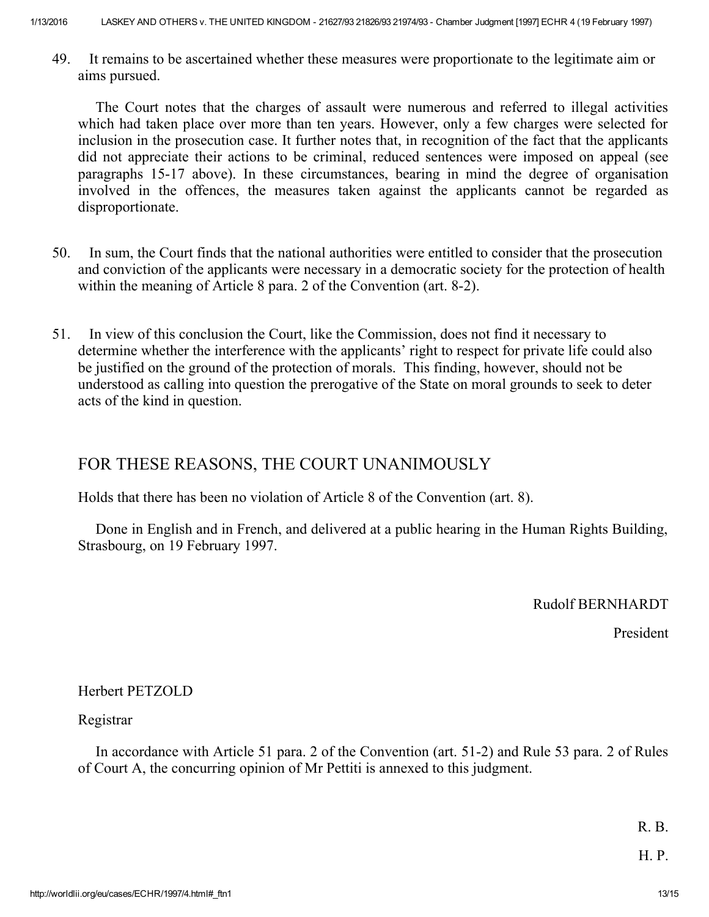49. It remains to be ascertained whether these measures were proportionate to the legitimate aim or aims pursued.

The Court notes that the charges of assault were numerous and referred to illegal activities which had taken place over more than ten years. However, only a few charges were selected for inclusion in the prosecution case. It further notes that, in recognition of the fact that the applicants did not appreciate their actions to be criminal, reduced sentences were imposed on appeal (see paragraphs 1517 above). In these circumstances, bearing in mind the degree of organisation involved in the offences, the measures taken against the applicants cannot be regarded as disproportionate.

- 50. In sum, the Court finds that the national authorities were entitled to consider that the prosecution and conviction of the applicants were necessary in a democratic society for the protection of health within the meaning of Article 8 para. 2 of the Convention (art. 8-2).
- 51. In view of this conclusion the Court, like the Commission, does not find it necessary to determine whether the interference with the applicants' right to respect for private life could also be justified on the ground of the protection of morals. This finding, however, should not be understood as calling into question the prerogative of the State on moral grounds to seek to deter acts of the kind in question.

# FOR THESE REASONS, THE COURT UNANIMOUSLY

Holds that there has been no violation of Article 8 of the Convention (art. 8).

Done in English and in French, and delivered at a public hearing in the Human Rights Building, Strasbourg, on 19 February 1997.

Rudolf BERNHARDT

President

#### Herbert PETZOLD

Registrar

In accordance with Article 51 para. 2 of the Convention (art. 512) and Rule 53 para. 2 of Rules of Court A, the concurring opinion of Mr Pettiti is annexed to this judgment.

R. B.

H. P.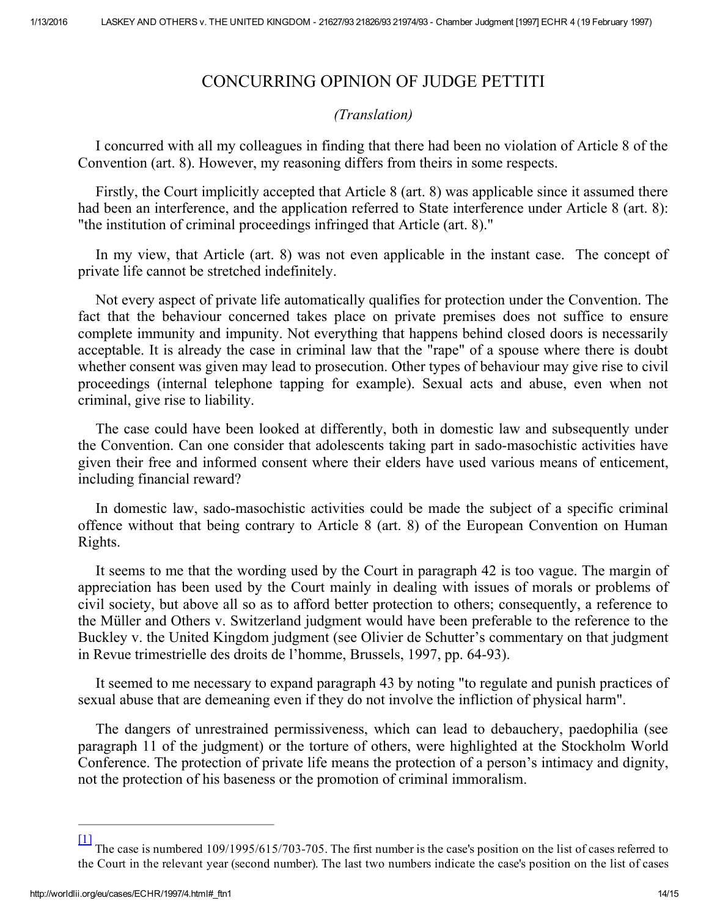# CONCURRING OPINION OF JUDGE PETTITI

#### (Translation)

I concurred with all my colleagues in finding that there had been no violation of Article 8 of the Convention (art. 8). However, my reasoning differs from theirs in some respects.

Firstly, the Court implicitly accepted that Article 8 (art. 8) was applicable since it assumed there had been an interference, and the application referred to State interference under Article 8 (art. 8): "the institution of criminal proceedings infringed that Article (art. 8)."

In my view, that Article (art. 8) was not even applicable in the instant case. The concept of private life cannot be stretched indefinitely.

Not every aspect of private life automatically qualifies for protection under the Convention. The fact that the behaviour concerned takes place on private premises does not suffice to ensure complete immunity and impunity. Not everything that happens behind closed doors is necessarily acceptable. It is already the case in criminal law that the "rape" of a spouse where there is doubt whether consent was given may lead to prosecution. Other types of behaviour may give rise to civil proceedings (internal telephone tapping for example). Sexual acts and abuse, even when not criminal, give rise to liability.

The case could have been looked at differently, both in domestic law and subsequently under the Convention. Can one consider that adolescents taking part in sado-masochistic activities have given their free and informed consent where their elders have used various means of enticement, including financial reward?

In domestic law, sado-masochistic activities could be made the subject of a specific criminal offence without that being contrary to Article 8 (art. 8) of the European Convention on Human Rights.

It seems to me that the wording used by the Court in paragraph 42 is too vague. The margin of appreciation has been used by the Court mainly in dealing with issues of morals or problems of civil society, but above all so as to afford better protection to others; consequently, a reference to the Müller and Others v. Switzerland judgment would have been preferable to the reference to the Buckley v. the United Kingdom judgment (see Olivier de Schutter's commentary on that judgment in Revue trimestrielle des droits de l'homme, Brussels, 1997, pp. 64-93).

It seemed to me necessary to expand paragraph 43 by noting "to regulate and punish practices of sexual abuse that are demeaning even if they do not involve the infliction of physical harm".

The dangers of unrestrained permissiveness, which can lead to debauchery, paedophilia (see paragraph 11 of the judgment) or the torture of others, were highlighted at the Stockholm World Conference. The protection of private life means the protection of a person's intimacy and dignity, not the protection of his baseness or the promotion of criminal immoralism.

[<sup>\[1\]</sup>](#page-1-0) The case is numbered  $109/1995/615/703-705$ . The first number is the case's position on the list of cases referred to the Court in the relevant year (second number). The last two numbers indicate the case's position on the list of cases